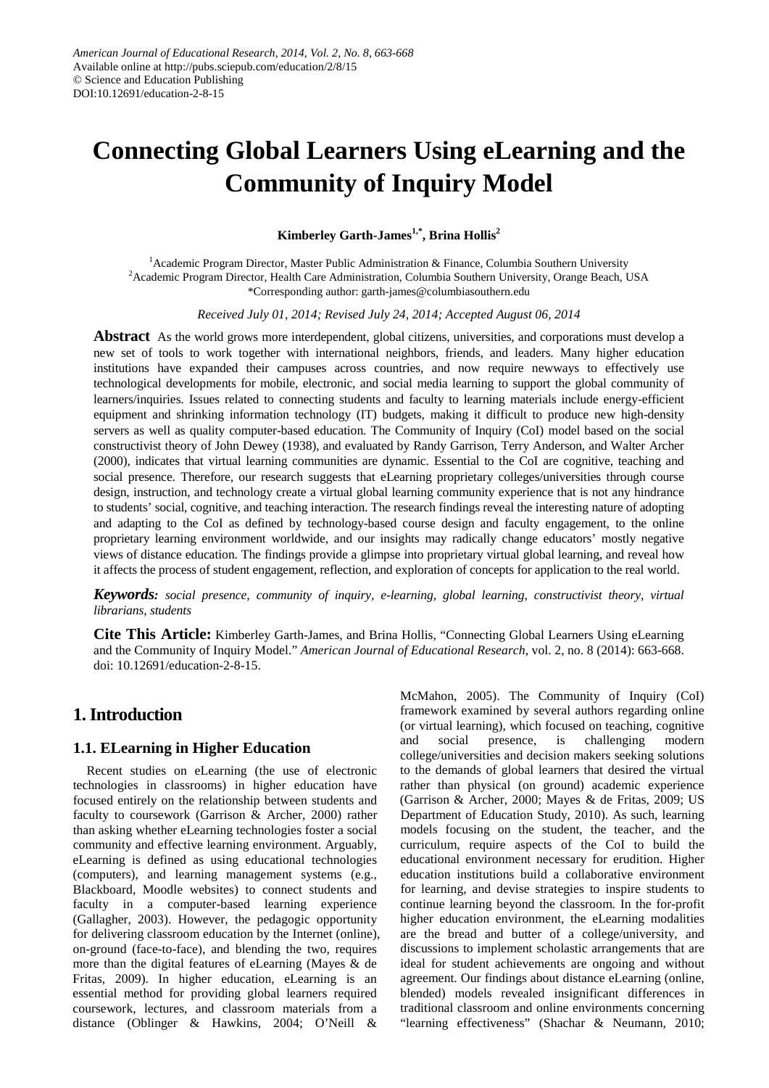# **Connecting Global Learners Using eLearning and the Community of Inquiry Model**

# **Kimberley Garth-James1,\*, Brina Hollis2**

<sup>1</sup> Academic Program Director, Master Public Administration & Finance, Columbia Southern University 2 Academic Program Director, Health Care Administration, Columbia Southern University, Orange Beach, USA \*Corresponding author: garth-james@columbiasouthern.edu

*Received July 01, 2014; Revised July 24, 2014; Accepted August 06, 2014*

**Abstract** As the world grows more interdependent, global citizens, universities, and corporations must develop a new set of tools to work together with international neighbors, friends, and leaders. Many higher education institutions have expanded their campuses across countries, and now require newways to effectively use technological developments for mobile, electronic, and social media learning to support the global community of learners/inquiries. Issues related to connecting students and faculty to learning materials include energy-efficient equipment and shrinking information technology (IT) budgets, making it difficult to produce new high-density servers as well as quality computer-based education. The Community of Inquiry (CoI) model based on the social constructivist theory of John Dewey (1938), and evaluated by Randy Garrison, Terry Anderson, and Walter Archer (2000), indicates that virtual learning communities are dynamic. Essential to the CoI are cognitive, teaching and social presence. Therefore, our research suggests that eLearning proprietary colleges/universities through course design, instruction, and technology create a virtual global learning community experience that is not any hindrance to students' social, cognitive, and teaching interaction. The research findings reveal the interesting nature of adopting and adapting to the CoI as defined by technology-based course design and faculty engagement, to the online proprietary learning environment worldwide, and our insights may radically change educators' mostly negative views of distance education. The findings provide a glimpse into proprietary virtual global learning, and reveal how it affects the process of student engagement, reflection, and exploration of concepts for application to the real world.

*Keywords: social presence, community of inquiry, e-learning, global learning, constructivist theory, virtual librarians, students*

**Cite This Article:** Kimberley Garth-James, and Brina Hollis, "Connecting Global Learners Using eLearning and the Community of Inquiry Model." *American Journal of Educational Research*, vol. 2, no. 8 (2014): 663-668. doi: 10.12691/education-2-8-15.

# **1.Introduction**

# **1.1. ELearning in Higher Education**

Recent studies on eLearning (the use of electronic technologies in classrooms) in higher education have focused entirely on the relationship between students and faculty to coursework (Garrison & Archer, 2000) rather than asking whether eLearning technologies foster a social community and effective learning environment. Arguably, eLearning is defined as using educational technologies (computers), and learning management systems (e.g., Blackboard, Moodle websites) to connect students and faculty in a computer-based learning experience (Gallagher, 2003). However, the pedagogic opportunity for delivering classroom education by the Internet (online), on-ground (face-to-face), and blending the two, requires more than the digital features of eLearning (Mayes & de Fritas, 2009). In higher education, eLearning is an essential method for providing global learners required coursework, lectures, and classroom materials from a distance (Oblinger & Hawkins, 2004; O'Neill &

McMahon, 2005). The Community of Inquiry (CoI) framework examined by several authors regarding online (or virtual learning), which focused on teaching, cognitive and social presence, is challenging modern college/universities and decision makers seeking solutions to the demands of global learners that desired the virtual rather than physical (on ground) academic experience (Garrison & Archer, 2000; Mayes & de Fritas, 2009; US Department of Education Study, 2010). As such, learning models focusing on the student, the teacher, and the curriculum, require aspects of the CoI to build the educational environment necessary for erudition. Higher education institutions build a collaborative environment for learning, and devise strategies to inspire students to continue learning beyond the classroom. In the for-profit higher education environment, the eLearning modalities are the bread and butter of a college/university, and discussions to implement scholastic arrangements that are ideal for student achievements are ongoing and without agreement. Our findings about distance eLearning (online, blended) models revealed insignificant differences in traditional classroom and online environments concerning "learning effectiveness" (Shachar & Neumann, 2010;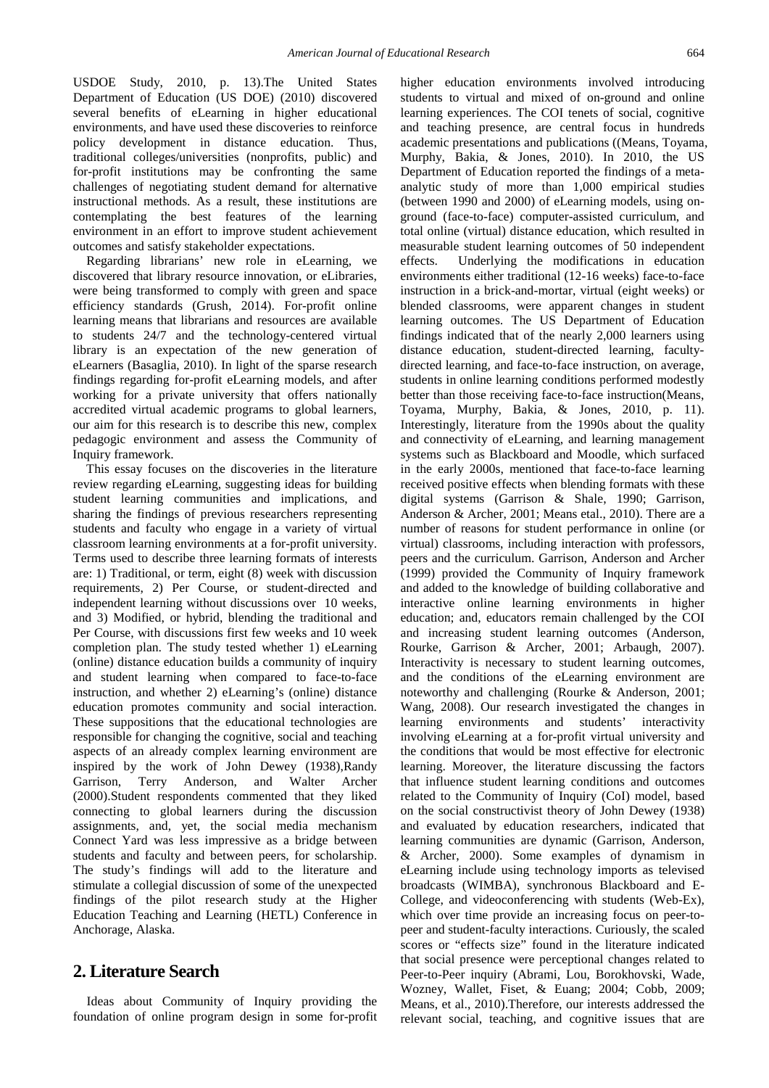USDOE Study, 2010, p. 13).The United States Department of Education (US DOE) (2010) discovered several benefits of eLearning in higher educational environments, and have used these discoveries to reinforce policy development in distance education. Thus, traditional colleges/universities (nonprofits, public) and for-profit institutions may be confronting the same challenges of negotiating student demand for alternative instructional methods. As a result, these institutions are contemplating the best features of the learning environment in an effort to improve student achievement outcomes and satisfy stakeholder expectations.

Regarding librarians' new role in eLearning, we discovered that library resource innovation, or eLibraries, were being transformed to comply with green and space efficiency standards (Grush, 2014). For-profit online learning means that librarians and resources are available to students 24/7 and the technology-centered virtual library is an expectation of the new generation of eLearners (Basaglia, 2010). In light of the sparse research findings regarding for-profit eLearning models, and after working for a private university that offers nationally accredited virtual academic programs to global learners, our aim for this research is to describe this new, complex pedagogic environment and assess the Community of Inquiry framework.

This essay focuses on the discoveries in the literature review regarding eLearning, suggesting ideas for building student learning communities and implications, and sharing the findings of previous researchers representing students and faculty who engage in a variety of virtual classroom learning environments at a for-profit university. Terms used to describe three learning formats of interests are: 1) Traditional, or term, eight (8) week with discussion requirements, 2) Per Course, or student-directed and independent learning without discussions over 10 weeks, and 3) Modified, or hybrid, blending the traditional and Per Course, with discussions first few weeks and 10 week completion plan. The study tested whether 1) eLearning (online) distance education builds a community of inquiry and student learning when compared to face-to-face instruction, and whether 2) eLearning's (online) distance education promotes community and social interaction. These suppositions that the educational technologies are responsible for changing the cognitive, social and teaching aspects of an already complex learning environment are inspired by the work of John Dewey (1938),Randy Garrison, Terry Anderson, and Walter Archer (2000).Student respondents commented that they liked connecting to global learners during the discussion assignments, and, yet, the social media mechanism Connect Yard was less impressive as a bridge between students and faculty and between peers, for scholarship. The study's findings will add to the literature and stimulate a collegial discussion of some of the unexpected findings of the pilot research study at the Higher Education Teaching and Learning (HETL) Conference in Anchorage, Alaska.

# **2. Literature Search**

Ideas about Community of Inquiry providing the foundation of online program design in some for-profit higher education environments involved introducing students to virtual and mixed of on-ground and online learning experiences. The COI tenets of social, cognitive and teaching presence, are central focus in hundreds academic presentations and publications ((Means, Toyama, Murphy, Bakia, & Jones, 2010). In 2010, the US Department of Education reported the findings of a metaanalytic study of more than 1,000 empirical studies (between 1990 and 2000) of eLearning models, using onground (face-to-face) computer-assisted curriculum, and total online (virtual) distance education, which resulted in measurable student learning outcomes of 50 independent effects. Underlying the modifications in education environments either traditional (12-16 weeks) face-to-face instruction in a brick-and-mortar, virtual (eight weeks) or blended classrooms, were apparent changes in student learning outcomes. The US Department of Education findings indicated that of the nearly 2,000 learners using distance education, student-directed learning, facultydirected learning, and face-to-face instruction, on average, students in online learning conditions performed modestly better than those receiving face-to-face instruction(Means, Toyama, Murphy, Bakia, & Jones, 2010, p. 11). Interestingly, literature from the 1990s about the quality and connectivity of eLearning, and learning management systems such as Blackboard and Moodle, which surfaced in the early 2000s, mentioned that face-to-face learning received positive effects when blending formats with these digital systems (Garrison & Shale, 1990; Garrison, Anderson & Archer, 2001; Means etal., 2010). There are a number of reasons for student performance in online (or virtual) classrooms, including interaction with professors, peers and the curriculum. Garrison, Anderson and Archer (1999) provided the Community of Inquiry framework and added to the knowledge of building collaborative and interactive online learning environments in higher education; and, educators remain challenged by the COI and increasing student learning outcomes (Anderson, Rourke, Garrison & Archer, 2001; Arbaugh, 2007). Interactivity is necessary to student learning outcomes, and the conditions of the eLearning environment are noteworthy and challenging (Rourke & Anderson, 2001; Wang, 2008). Our research investigated the changes in learning environments and students' interactivity involving eLearning at a for-profit virtual university and the conditions that would be most effective for electronic learning. Moreover, the literature discussing the factors that influence student learning conditions and outcomes related to the Community of Inquiry (CoI) model, based on the social constructivist theory of John Dewey (1938) and evaluated by education researchers, indicated that learning communities are dynamic (Garrison, Anderson, & Archer, 2000). Some examples of dynamism in eLearning include using technology imports as televised broadcasts (WIMBA), synchronous Blackboard and E-College, and videoconferencing with students (Web-Ex), which over time provide an increasing focus on peer-topeer and student-faculty interactions. Curiously, the scaled scores or "effects size" found in the literature indicated that social presence were perceptional changes related to Peer-to-Peer inquiry (Abrami, Lou, Borokhovski, Wade, Wozney, Wallet, Fiset, & Euang; 2004; Cobb, 2009; Means, et al., 2010).Therefore, our interests addressed the relevant social, teaching, and cognitive issues that are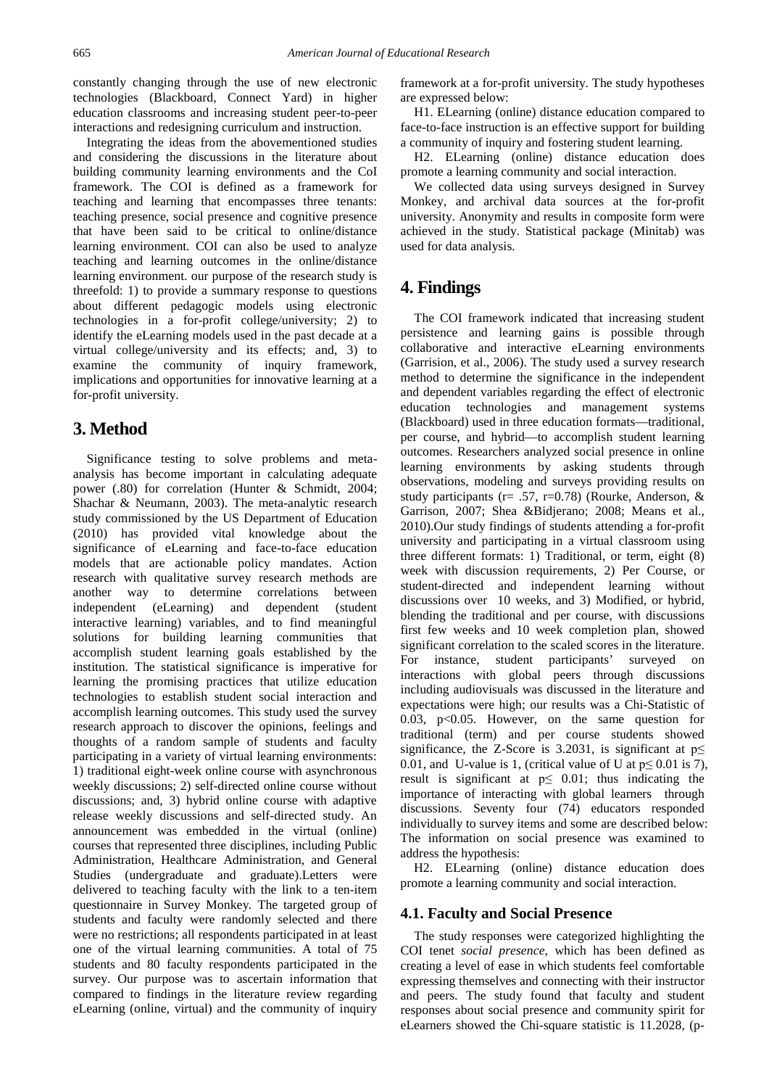constantly changing through the use of new electronic technologies (Blackboard, Connect Yard) in higher education classrooms and increasing student peer-to-peer interactions and redesigning curriculum and instruction.

Integrating the ideas from the abovementioned studies and considering the discussions in the literature about building community learning environments and the CoI framework. The COI is defined as a framework for teaching and learning that encompasses three tenants: teaching presence, social presence and cognitive presence that have been said to be critical to online/distance learning environment. COI can also be used to analyze teaching and learning outcomes in the online/distance learning environment. our purpose of the research study is threefold: 1) to provide a summary response to questions about different pedagogic models using electronic technologies in a for-profit college/university; 2) to identify the eLearning models used in the past decade at a virtual college/university and its effects; and, 3) to examine the community of inquiry framework, implications and opportunities for innovative learning at a for-profit university.

# **3. Method**

Significance testing to solve problems and metaanalysis has become important in calculating adequate power (.80) for correlation (Hunter & Schmidt, 2004; Shachar & Neumann, 2003). The meta-analytic research study commissioned by the US Department of Education (2010) has provided vital knowledge about the significance of eLearning and face-to-face education models that are actionable policy mandates. Action research with qualitative survey research methods are another way to determine correlations between independent (eLearning) and dependent (student interactive learning) variables, and to find meaningful solutions for building learning communities that accomplish student learning goals established by the institution. The statistical significance is imperative for learning the promising practices that utilize education technologies to establish student social interaction and accomplish learning outcomes. This study used the survey research approach to discover the opinions, feelings and thoughts of a random sample of students and faculty participating in a variety of virtual learning environments: 1) traditional eight-week online course with asynchronous weekly discussions; 2) self-directed online course without discussions; and, 3) hybrid online course with adaptive release weekly discussions and self-directed study. An announcement was embedded in the virtual (online) courses that represented three disciplines, including Public Administration, Healthcare Administration, and General Studies (undergraduate and graduate).Letters were delivered to teaching faculty with the link to a ten-item questionnaire in Survey Monkey*.* The targeted group of students and faculty were randomly selected and there were no restrictions; all respondents participated in at least one of the virtual learning communities. A total of 75 students and 80 faculty respondents participated in the survey. Our purpose was to ascertain information that compared to findings in the literature review regarding eLearning (online, virtual) and the community of inquiry

framework at a for-profit university. The study hypotheses are expressed below:

H1. ELearning (online) distance education compared to face-to-face instruction is an effective support for building a community of inquiry and fostering student learning.

H2. ELearning (online) distance education does promote a learning community and social interaction.

We collected data using surveys designed in Survey Monkey, and archival data sources at the for-profit university. Anonymity and results in composite form were achieved in the study. Statistical package (Minitab) was used for data analysis.

# **4. Findings**

The COI framework indicated that increasing student persistence and learning gains is possible through collaborative and interactive eLearning environments (Garrision, et al., 2006). The study used a survey research method to determine the significance in the independent and dependent variables regarding the effect of electronic education technologies and management systems (Blackboard) used in three education formats—traditional, per course, and hybrid—to accomplish student learning outcomes. Researchers analyzed social presence in online learning environments by asking students through observations, modeling and surveys providing results on study participants (r= .57, r=0.78) (Rourke, Anderson,  $\&$ Garrison, 2007; Shea &Bidjerano; 2008; Means et al., 2010).Our study findings of students attending a for-profit university and participating in a virtual classroom using three different formats: 1) Traditional, or term, eight (8) week with discussion requirements, 2) Per Course, or student-directed and independent learning without discussions over 10 weeks, and 3) Modified, or hybrid, blending the traditional and per course, with discussions first few weeks and 10 week completion plan, showed significant correlation to the scaled scores in the literature. For instance, student participants' surveyed on interactions with global peers through discussions including audiovisuals was discussed in the literature and expectations were high; our results was a Chi-Statistic of 0.03, p<0.05. However, on the same question for traditional (term) and per course students showed significance, the Z-Score is 3.2031, is significant at  $p \leq$ 0.01, and U-value is 1, (critical value of U at  $p \le 0.01$  is 7), result is significant at  $p \leq 0.01$ ; thus indicating the importance of interacting with global learners through discussions. Seventy four (74) educators responded individually to survey items and some are described below: The information on social presence was examined to address the hypothesis:

H2. ELearning (online) distance education does promote a learning community and social interaction.

#### **4.1. Faculty and Social Presence**

The study responses were categorized highlighting the COI tenet *social presence*, which has been defined as creating a level of ease in which students feel comfortable expressing themselves and connecting with their instructor and peers. The study found that faculty and student responses about social presence and community spirit for eLearners showed the Chi-square statistic is 11.2028, (p-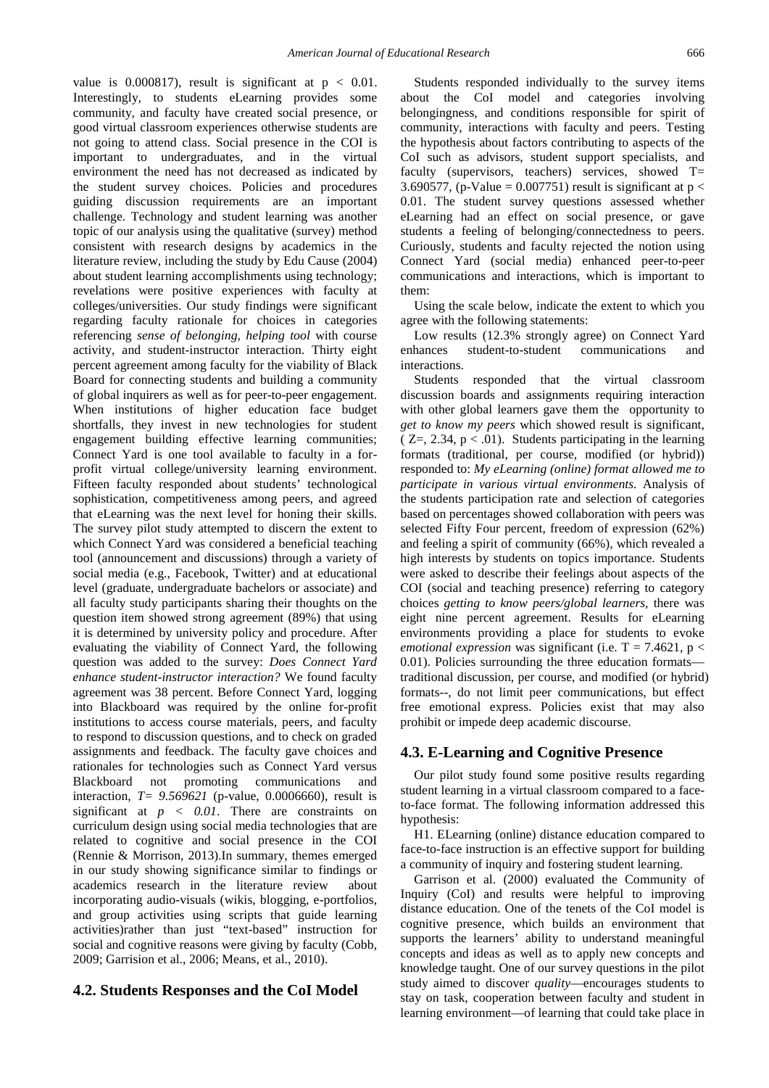value is  $0.000817$ , result is significant at  $p < 0.01$ . Interestingly, to students eLearning provides some community, and faculty have created social presence, or good virtual classroom experiences otherwise students are not going to attend class. Social presence in the COI is important to undergraduates, and in the virtual environment the need has not decreased as indicated by the student survey choices. Policies and procedures guiding discussion requirements are an important challenge. Technology and student learning was another topic of our analysis using the qualitative (survey) method consistent with research designs by academics in the literature review, including the study by Edu Cause (2004) about student learning accomplishments using technology; revelations were positive experiences with faculty at colleges/universities. Our study findings were significant regarding faculty rationale for choices in categories referencing *sense of belonging*, *helping tool* with course activity, and student-instructor interaction. Thirty eight percent agreement among faculty for the viability of Black Board for connecting students and building a community of global inquirers as well as for peer-to-peer engagement. When institutions of higher education face budget shortfalls, they invest in new technologies for student engagement building effective learning communities; Connect Yard is one tool available to faculty in a forprofit virtual college/university learning environment. Fifteen faculty responded about students' technological sophistication, competitiveness among peers, and agreed that eLearning was the next level for honing their skills. The survey pilot study attempted to discern the extent to which Connect Yard was considered a beneficial teaching tool (announcement and discussions) through a variety of social media (e.g., Facebook, Twitter) and at educational level (graduate, undergraduate bachelors or associate) and all faculty study participants sharing their thoughts on the question item showed strong agreement (89%) that using it is determined by university policy and procedure. After evaluating the viability of Connect Yard, the following question was added to the survey: *Does Connect Yard enhance student-instructor interaction?* We found faculty agreement was 38 percent. Before Connect Yard, logging into Blackboard was required by the online for-profit institutions to access course materials, peers, and faculty to respond to discussion questions, and to check on graded assignments and feedback. The faculty gave choices and rationales for technologies such as Connect Yard versus Blackboard not promoting communications and interaction, *T= 9.569621* (p-value, 0.0006660), result is significant at  $p \, < \, 0.01$ . There are constraints on curriculum design using social media technologies that are related to cognitive and social presence in the COI (Rennie & Morrison, 2013).In summary, themes emerged in our study showing significance similar to findings or academics research in the literature review about incorporating audio-visuals (wikis, blogging, e-portfolios, and group activities using scripts that guide learning activities)rather than just "text-based" instruction for social and cognitive reasons were giving by faculty (Cobb, 2009; Garrision et al., 2006; Means, et al., 2010).

#### **4.2. Students Responses and the CoI Model**

Students responded individually to the survey items about the CoI model and categories involving belongingness, and conditions responsible for spirit of community, interactions with faculty and peers. Testing the hypothesis about factors contributing to aspects of the CoI such as advisors, student support specialists, and faculty (supervisors, teachers) services, showed T= 3.690577, (p-Value = 0.007751) result is significant at  $p <$ 0.01. The student survey questions assessed whether eLearning had an effect on social presence, or gave students a feeling of belonging/connectedness to peers. Curiously, students and faculty rejected the notion using Connect Yard (social media) enhanced peer-to-peer communications and interactions, which is important to them:

Using the scale below, indicate the extent to which you agree with the following statements:

Low results (12.3% strongly agree) on Connect Yard enhances student-to-student communications and interactions.

Students responded that the virtual classroom discussion boards and assignments requiring interaction with other global learners gave them the opportunity to *get to know my peers* which showed result is significant,  $(Z=, 2.34, p < .01)$ . Students participating in the learning formats (traditional, per course, modified (or hybrid)) responded to: *My eLearning (online) format allowed me to participate in various virtual environments.* Analysis of the students participation rate and selection of categories based on percentages showed collaboration with peers was selected Fifty Four percent, freedom of expression (62%) and feeling a spirit of community (66%), which revealed a high interests by students on topics importance. Students were asked to describe their feelings about aspects of the COI (social and teaching presence) referring to category choices *getting to know peers/global learners*, there was eight nine percent agreement. Results for eLearning environments providing a place for students to evoke *emotional expression* was significant (i.e.  $T = 7.4621$ ,  $p <$ 0.01). Policies surrounding the three education formats traditional discussion, per course, and modified (or hybrid) formats--, do not limit peer communications, but effect free emotional express. Policies exist that may also prohibit or impede deep academic discourse.

#### **4.3. E-Learning and Cognitive Presence**

Our pilot study found some positive results regarding student learning in a virtual classroom compared to a faceto-face format. The following information addressed this hypothesis:

H1. ELearning (online) distance education compared to face-to-face instruction is an effective support for building a community of inquiry and fostering student learning.

Garrison et al. (2000) evaluated the Community of Inquiry (CoI) and results were helpful to improving distance education. One of the tenets of the CoI model is cognitive presence, which builds an environment that supports the learners' ability to understand meaningful concepts and ideas as well as to apply new concepts and knowledge taught. One of our survey questions in the pilot study aimed to discover *quality*—encourages students to stay on task, cooperation between faculty and student in learning environment—of learning that could take place in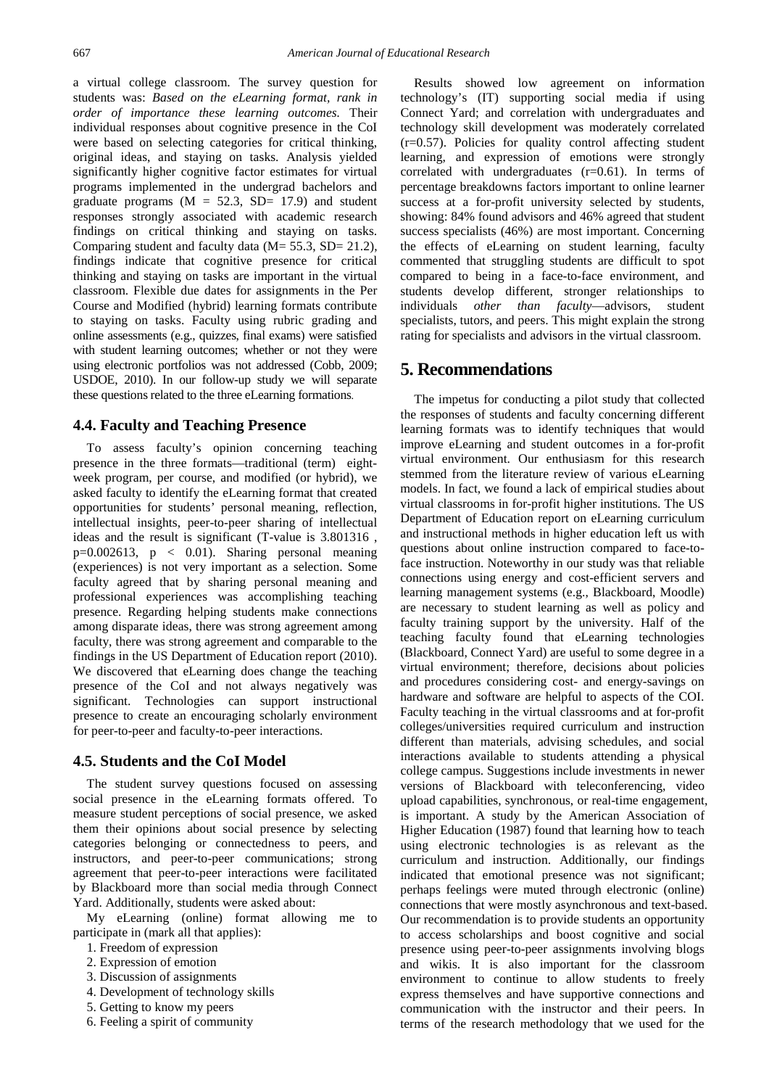a virtual college classroom. The survey question for students was: *Based on the eLearning format, rank in order of importance these learning outcomes.* Their individual responses about cognitive presence in the CoI were based on selecting categories for critical thinking, original ideas, and staying on tasks. Analysis yielded significantly higher cognitive factor estimates for virtual programs implemented in the undergrad bachelors and graduate programs ( $M = 52.3$ , SD= 17.9) and student responses strongly associated with academic research findings on critical thinking and staying on tasks. Comparing student and faculty data ( $M = 55.3$ ,  $SD = 21.2$ ), findings indicate that cognitive presence for critical thinking and staying on tasks are important in the virtual classroom. Flexible due dates for assignments in the Per Course and Modified (hybrid) learning formats contribute to staying on tasks. Faculty using rubric grading and online assessments (e.g., quizzes, final exams) were satisfied with student learning outcomes; whether or not they were using electronic portfolios was not addressed (Cobb, 2009; USDOE, 2010). In our follow-up study we will separate these questions related to the three eLearning formations.

#### **4.4. Faculty and Teaching Presence**

To assess faculty's opinion concerning teaching presence in the three formats—traditional (term) eightweek program, per course, and modified (or hybrid), we asked faculty to identify the eLearning format that created opportunities for students' personal meaning, reflection, intellectual insights, peer-to-peer sharing of intellectual ideas and the result is significant (T-value is 3.801316 ,  $p=0.002613$ ,  $p < 0.01$ ). Sharing personal meaning (experiences) is not very important as a selection. Some faculty agreed that by sharing personal meaning and professional experiences was accomplishing teaching presence. Regarding helping students make connections among disparate ideas, there was strong agreement among faculty, there was strong agreement and comparable to the findings in the US Department of Education report (2010). We discovered that eLearning does change the teaching presence of the CoI and not always negatively was significant. Technologies can support instructional presence to create an encouraging scholarly environment for peer-to-peer and faculty-to-peer interactions.

#### **4.5. Students and the CoI Model**

The student survey questions focused on assessing social presence in the eLearning formats offered. To measure student perceptions of social presence, we asked them their opinions about social presence by selecting categories belonging or connectedness to peers, and instructors, and peer-to-peer communications; strong agreement that peer-to-peer interactions were facilitated by Blackboard more than social media through Connect Yard. Additionally, students were asked about:

My eLearning (online) format allowing me to participate in (mark all that applies):

- 1. Freedom of expression
- 2. Expression of emotion
- 3. Discussion of assignments
- 4. Development of technology skills
- 5. Getting to know my peers
- 6. Feeling a spirit of community

Results showed low agreement on information technology's (IT) supporting social media if using Connect Yard; and correlation with undergraduates and technology skill development was moderately correlated (r=0.57). Policies for quality control affecting student learning, and expression of emotions were strongly correlated with undergraduates (r=0.61). In terms of percentage breakdowns factors important to online learner success at a for-profit university selected by students, showing: 84% found advisors and 46% agreed that student success specialists (46%) are most important. Concerning the effects of eLearning on student learning, faculty commented that struggling students are difficult to spot compared to being in a face-to-face environment, and students develop different, stronger relationships to individuals *other than faculty*—advisors, student specialists, tutors, and peers. This might explain the strong rating for specialists and advisors in the virtual classroom.

# **5. Recommendations**

The impetus for conducting a pilot study that collected the responses of students and faculty concerning different learning formats was to identify techniques that would improve eLearning and student outcomes in a for-profit virtual environment. Our enthusiasm for this research stemmed from the literature review of various eLearning models. In fact, we found a lack of empirical studies about virtual classrooms in for-profit higher institutions. The US Department of Education report on eLearning curriculum and instructional methods in higher education left us with questions about online instruction compared to face-toface instruction. Noteworthy in our study was that reliable connections using energy and cost-efficient servers and learning management systems (e.g., Blackboard, Moodle) are necessary to student learning as well as policy and faculty training support by the university. Half of the teaching faculty found that eLearning technologies (Blackboard, Connect Yard) are useful to some degree in a virtual environment; therefore, decisions about policies and procedures considering cost- and energy-savings on hardware and software are helpful to aspects of the COI. Faculty teaching in the virtual classrooms and at for-profit colleges/universities required curriculum and instruction different than materials, advising schedules, and social interactions available to students attending a physical college campus. Suggestions include investments in newer versions of Blackboard with teleconferencing, video upload capabilities, synchronous, or real-time engagement, is important. A study by the American Association of Higher Education (1987) found that learning how to teach using electronic technologies is as relevant as the curriculum and instruction. Additionally, our findings indicated that emotional presence was not significant; perhaps feelings were muted through electronic (online) connections that were mostly asynchronous and text-based. Our recommendation is to provide students an opportunity to access scholarships and boost cognitive and social presence using peer-to-peer assignments involving blogs and wikis. It is also important for the classroom environment to continue to allow students to freely express themselves and have supportive connections and communication with the instructor and their peers. In terms of the research methodology that we used for the